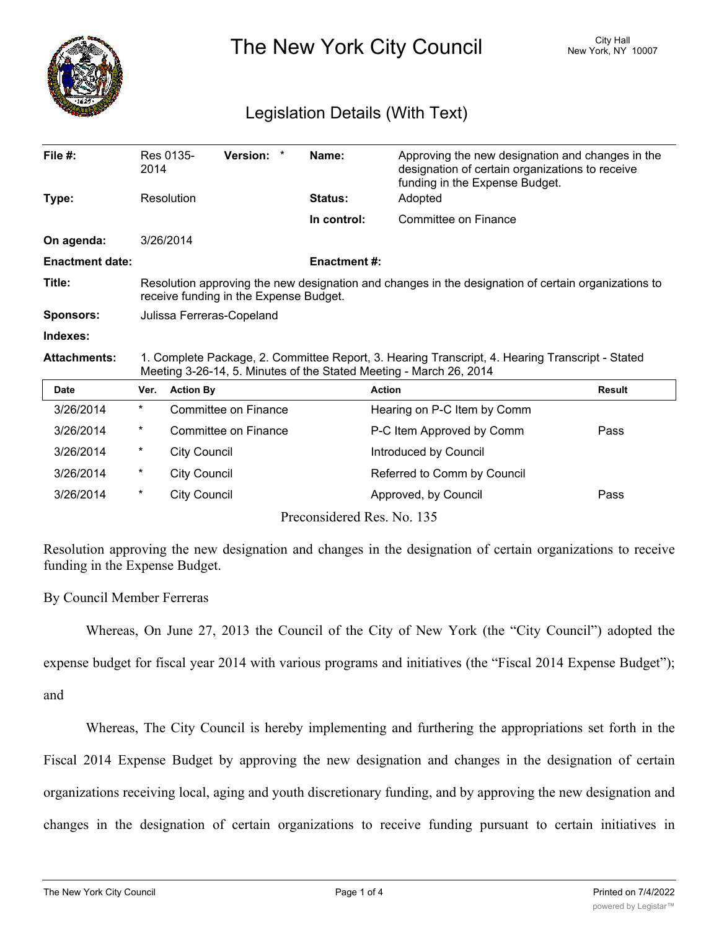

The New York City Council New York, NY 10007

## Legislation Details (With Text)

| File $#$ :             | 2014                                                                                                                                                                  | Res 0135-           | Version: *           | Name:               | Approving the new designation and changes in the<br>designation of certain organizations to receive<br>funding in the Expense Budget. |               |
|------------------------|-----------------------------------------------------------------------------------------------------------------------------------------------------------------------|---------------------|----------------------|---------------------|---------------------------------------------------------------------------------------------------------------------------------------|---------------|
| Type:                  |                                                                                                                                                                       | Resolution          |                      | <b>Status:</b>      | Adopted                                                                                                                               |               |
|                        |                                                                                                                                                                       |                     |                      | In control:         | Committee on Finance                                                                                                                  |               |
| On agenda:             | 3/26/2014                                                                                                                                                             |                     |                      |                     |                                                                                                                                       |               |
| <b>Enactment date:</b> |                                                                                                                                                                       |                     |                      | <b>Enactment #:</b> |                                                                                                                                       |               |
| Title:                 | Resolution approving the new designation and changes in the designation of certain organizations to<br>receive funding in the Expense Budget.                         |                     |                      |                     |                                                                                                                                       |               |
| <b>Sponsors:</b>       | Julissa Ferreras-Copeland                                                                                                                                             |                     |                      |                     |                                                                                                                                       |               |
| Indexes:               |                                                                                                                                                                       |                     |                      |                     |                                                                                                                                       |               |
| <b>Attachments:</b>    | 1. Complete Package, 2. Committee Report, 3. Hearing Transcript, 4. Hearing Transcript - Stated<br>Meeting 3-26-14, 5. Minutes of the Stated Meeting - March 26, 2014 |                     |                      |                     |                                                                                                                                       |               |
| <b>Date</b>            | Ver.                                                                                                                                                                  | <b>Action By</b>    |                      |                     | <b>Action</b>                                                                                                                         | <b>Result</b> |
| 3/26/2014              | $\star$                                                                                                                                                               |                     | Committee on Finance |                     | Hearing on P-C Item by Comm                                                                                                           |               |
| 3/26/2014              | $^\star$                                                                                                                                                              |                     | Committee on Finance |                     | P-C Item Approved by Comm                                                                                                             | Pass          |
| 3/26/2014              | $^\star$                                                                                                                                                              | <b>City Council</b> |                      |                     | Introduced by Council                                                                                                                 |               |
| 3/26/2014              | $^\star$                                                                                                                                                              | <b>City Council</b> |                      |                     | Referred to Comm by Council                                                                                                           |               |
| 3/26/2014              | $^\star$                                                                                                                                                              | <b>City Council</b> |                      |                     | Approved, by Council                                                                                                                  | Pass          |
|                        |                                                                                                                                                                       |                     |                      |                     | Preconsidered Res. No. 135                                                                                                            |               |

Resolution approving the new designation and changes in the designation of certain organizations to receive funding in the Expense Budget.

By Council Member Ferreras

Whereas, On June 27, 2013 the Council of the City of New York (the "City Council") adopted the

expense budget for fiscal year 2014 with various programs and initiatives (the "Fiscal 2014 Expense Budget");

and

Whereas, The City Council is hereby implementing and furthering the appropriations set forth in the Fiscal 2014 Expense Budget by approving the new designation and changes in the designation of certain organizations receiving local, aging and youth discretionary funding, and by approving the new designation and changes in the designation of certain organizations to receive funding pursuant to certain initiatives in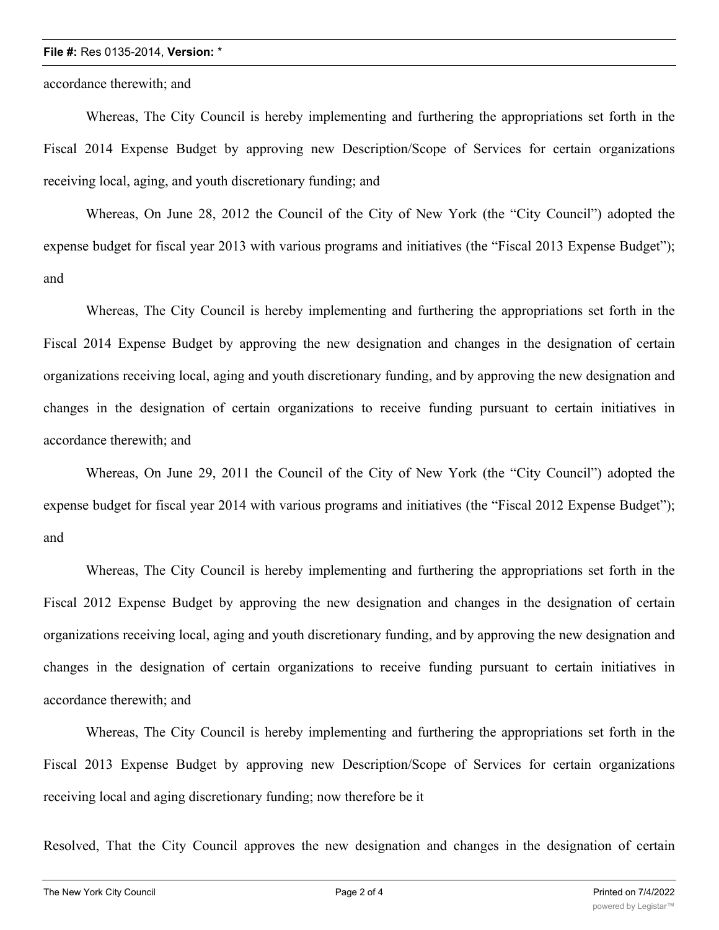## **File #:** Res 0135-2014, **Version:** \*

accordance therewith; and

Whereas, The City Council is hereby implementing and furthering the appropriations set forth in the Fiscal 2014 Expense Budget by approving new Description/Scope of Services for certain organizations receiving local, aging, and youth discretionary funding; and

Whereas, On June 28, 2012 the Council of the City of New York (the "City Council") adopted the expense budget for fiscal year 2013 with various programs and initiatives (the "Fiscal 2013 Expense Budget"); and

Whereas, The City Council is hereby implementing and furthering the appropriations set forth in the Fiscal 2014 Expense Budget by approving the new designation and changes in the designation of certain organizations receiving local, aging and youth discretionary funding, and by approving the new designation and changes in the designation of certain organizations to receive funding pursuant to certain initiatives in accordance therewith; and

Whereas, On June 29, 2011 the Council of the City of New York (the "City Council") adopted the expense budget for fiscal year 2014 with various programs and initiatives (the "Fiscal 2012 Expense Budget"); and

Whereas, The City Council is hereby implementing and furthering the appropriations set forth in the Fiscal 2012 Expense Budget by approving the new designation and changes in the designation of certain organizations receiving local, aging and youth discretionary funding, and by approving the new designation and changes in the designation of certain organizations to receive funding pursuant to certain initiatives in accordance therewith; and

Whereas, The City Council is hereby implementing and furthering the appropriations set forth in the Fiscal 2013 Expense Budget by approving new Description/Scope of Services for certain organizations receiving local and aging discretionary funding; now therefore be it

Resolved, That the City Council approves the new designation and changes in the designation of certain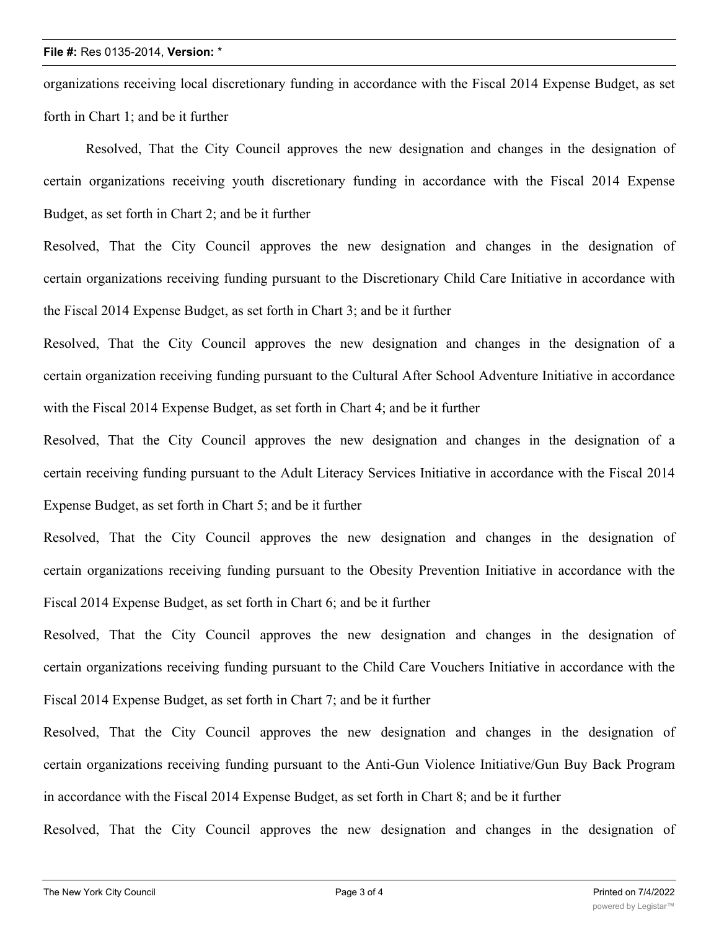## **File #:** Res 0135-2014, **Version:** \*

organizations receiving local discretionary funding in accordance with the Fiscal 2014 Expense Budget, as set forth in Chart 1; and be it further

Resolved, That the City Council approves the new designation and changes in the designation of certain organizations receiving youth discretionary funding in accordance with the Fiscal 2014 Expense Budget, as set forth in Chart 2; and be it further

Resolved, That the City Council approves the new designation and changes in the designation of certain organizations receiving funding pursuant to the Discretionary Child Care Initiative in accordance with the Fiscal 2014 Expense Budget, as set forth in Chart 3; and be it further

Resolved, That the City Council approves the new designation and changes in the designation of a certain organization receiving funding pursuant to the Cultural After School Adventure Initiative in accordance with the Fiscal 2014 Expense Budget, as set forth in Chart 4; and be it further

Resolved, That the City Council approves the new designation and changes in the designation of a certain receiving funding pursuant to the Adult Literacy Services Initiative in accordance with the Fiscal 2014 Expense Budget, as set forth in Chart 5; and be it further

Resolved, That the City Council approves the new designation and changes in the designation of certain organizations receiving funding pursuant to the Obesity Prevention Initiative in accordance with the Fiscal 2014 Expense Budget, as set forth in Chart 6; and be it further

Resolved, That the City Council approves the new designation and changes in the designation of certain organizations receiving funding pursuant to the Child Care Vouchers Initiative in accordance with the Fiscal 2014 Expense Budget, as set forth in Chart 7; and be it further

Resolved, That the City Council approves the new designation and changes in the designation of certain organizations receiving funding pursuant to the Anti-Gun Violence Initiative/Gun Buy Back Program in accordance with the Fiscal 2014 Expense Budget, as set forth in Chart 8; and be it further

Resolved, That the City Council approves the new designation and changes in the designation of